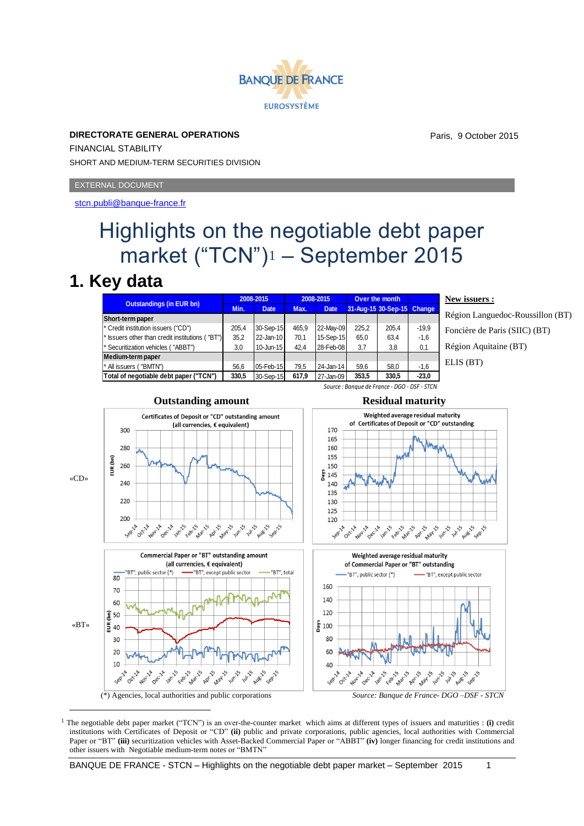

**DIRECTORATE GENERAL OPERATIONS** FINANCIAL STABILITY SHORT AND MEDIUM-TERM SECURITIES DIVISION

EXTERNAL DOCUMENT

<stcn.publi@banque-france.fr>

## Highlights on the negotiable debt paper market ("TCN")<sup>1</sup> – September 2015

## **1. Key data**

| <b>Outstandings (in EUR bn)</b>                            | 2008-2015 |             | 2008-2015 |             | Over the month |                            |         |
|------------------------------------------------------------|-----------|-------------|-----------|-------------|----------------|----------------------------|---------|
|                                                            | Min.      | <b>Date</b> | Max.      | <b>Date</b> |                | 31-Aug-15 30-Sep-15 Change |         |
| Short-term paper                                           |           |             |           |             |                |                            |         |
| * Credit institution issuers ("CD")                        | 205.4     | 30-Sep-15   | 465.9     | 22-May-09   | 225.2          | 205.4                      | $-19.9$ |
| <sup>*</sup> Issuers other than credit institutions ("BT") | 35.2      | 22-Jan-10   | 70.1      | 15-Sep-15   | 65.0           | 63,4                       | $-1.6$  |
| * Securitization vehicles ("ABBT")                         | 3.0       | 10-Jun-15   | 42.4      | 28-Feb-08   | 3,7            | 3,8                        | 0,1     |
| Medium-term paper                                          |           |             |           |             |                |                            |         |
| <sup>*</sup> All issuers ("BMTN")                          | 56.6      | 05-Feb-15   | 79.5      | 24-Jan-14   | 59.6           | 58.0                       | $-1.6$  |
| Total of negotiable debt paper ("TCN")                     | 330,5     | 30-Sep-15   | 617.9     | 27-Jan-09   | 353.5          | 330,5                      | $-23.0$ |

**New issuers :**

Région Languedoc-Roussillon (BT) Foncière de Paris (SIIC) (BT) Région Aquitaine (BT) ELIS (BT)



<sup>1</sup> The negotiable debt paper market ("TCN") is an over-the-counter market which aims at different types of issuers and maturities : **(i)** credit institutions with Certificates of Deposit or "CD" **(ii)** public and private corporations, public agencies, local authorities with Commercial Paper or "BT" **(iii)** securitization vehicles with Asset-Backed Commercial Paper or "ABBT" **(iv)** longer financing for credit institutions and other issuers with Negotiable medium-term notes or "BMTN"



*Source : Banque de France - DGO - DSF - STCN*



Paris, 9 October 2015